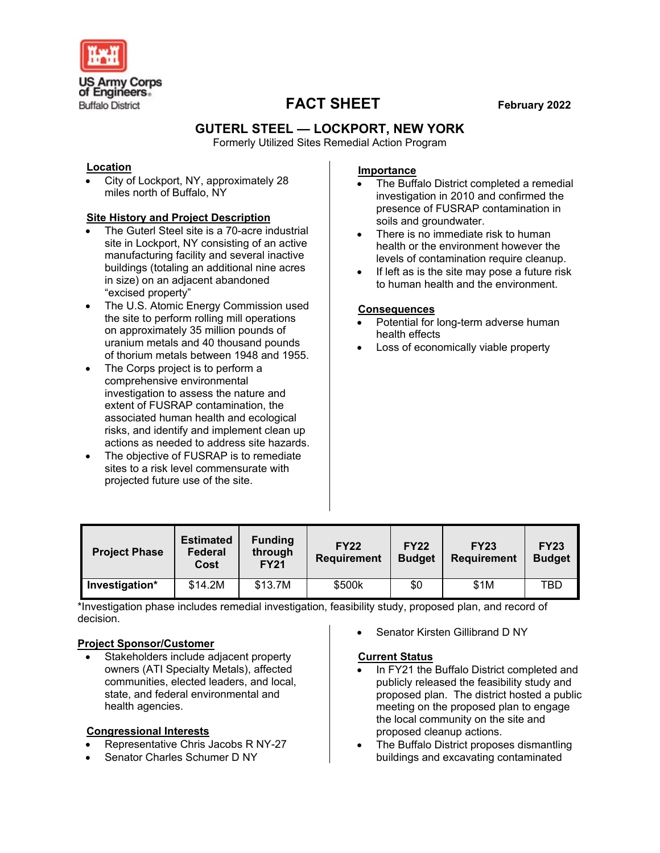

# **FACT SHEET February 2022**

## **GUTERL STEEL — LOCKPORT, NEW YORK**

Formerly Utilized Sites Remedial Action Program

#### **Location**

• City of Lockport, NY, approximately 28 miles north of Buffalo, NY

### **Site History and Project Description**

- The Guterl Steel site is a 70-acre industrial site in Lockport, NY consisting of an active manufacturing facility and several inactive buildings (totaling an additional nine acres in size) on an adjacent abandoned "excised property"
- The U.S. Atomic Energy Commission used the site to perform rolling mill operations on approximately 35 million pounds of uranium metals and 40 thousand pounds of thorium metals between 1948 and 1955.
- The Corps project is to perform a comprehensive environmental investigation to assess the nature and extent of FUSRAP contamination, the associated human health and ecological risks, and identify and implement clean up actions as needed to address site hazards.
- The objective of FUSRAP is to remediate sites to a risk level commensurate with projected future use of the site.

### **Importance**

- The Buffalo District completed a remedial investigation in 2010 and confirmed the presence of FUSRAP contamination in soils and groundwater.
- There is no immediate risk to human health or the environment however the levels of contamination require cleanup.
- If left as is the site may pose a future risk to human health and the environment.

#### **Consequences**

- Potential for long-term adverse human health effects
- Loss of economically viable property

| <b>Project Phase</b> | <b>Estimated</b><br>Federal<br>Cost | <b>Funding</b><br>through<br><b>FY21</b> | <b>FY22</b><br><b>Requirement</b> | <b>FY22</b><br><b>Budget</b> | <b>FY23</b><br><b>Requirement</b> | <b>FY23</b><br><b>Budget</b> |
|----------------------|-------------------------------------|------------------------------------------|-----------------------------------|------------------------------|-----------------------------------|------------------------------|
| Investigation*       | \$14.2M                             | \$13.7M                                  | \$500k                            | \$0                          | \$1M                              | TBD                          |

\*Investigation phase includes remedial investigation, feasibility study, proposed plan, and record of decision.

#### **Project Sponsor/Customer**

• Stakeholders include adjacent property owners (ATI Specialty Metals), affected communities, elected leaders, and local, state, and federal environmental and health agencies.

#### **Congressional Interests**

- Representative Chris Jacobs R NY-27
- Senator Charles Schumer D NY

Senator Kirsten Gillibrand D NY

#### **Current Status**

- In FY21 the Buffalo District completed and publicly released the feasibility study and proposed plan. The district hosted a public meeting on the proposed plan to engage the local community on the site and proposed cleanup actions.
- The Buffalo District proposes dismantling buildings and excavating contaminated